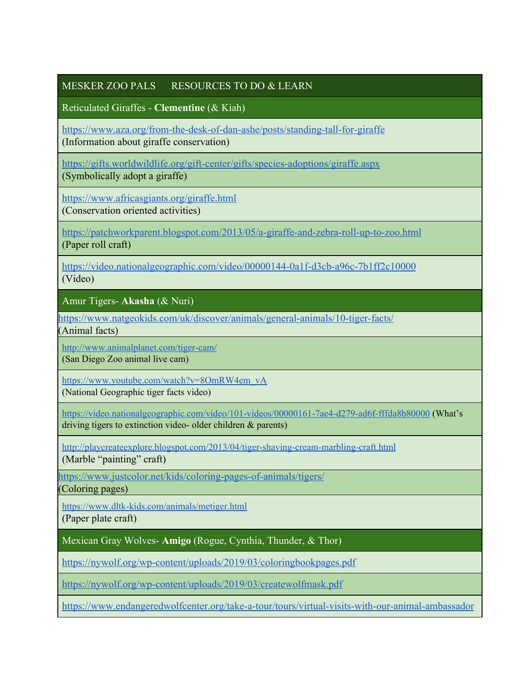## MESKER ZOO PALS RESOURCES TO DO & LEARN

Reticulated Giraffes - **Clementine** (& Kiah)

<https://www.aza.org/from-the-desk-of-dan-ashe/posts/standing-tall-for-giraffe> (Information about giraffe conservation)

<https://gifts.worldwildlife.org/gift-center/gifts/species-adoptions/giraffe.aspx> (Symbolically adopt a giraffe)

<https://www.africasgiants.org/giraffe.html>

(Conservation oriented activities)

<https://patchworkparent.blogspot.com/2013/05/a-giraffe-and-zebra-roll-up-to-zoo.html> (Paper roll craft)

<https://video.nationalgeographic.com/video/00000144-0a1f-d3cb-a96c-7b1ff2c10000> (Video)

Amur Tigers- **Akasha** (& Nuri)

<https://www.natgeokids.com/uk/discover/animals/general-animals/10-tiger-facts/>

(Animal facts)

<http://www.animalplanet.com/tiger-cam/>

(San Diego Zoo animal live cam)

[https://www.youtube.com/watch?v=8OmRW4em\\_vA](https://www.youtube.com/watch?v=8OmRW4em_vA) (National Geographic tiger facts video)

<https://video.nationalgeographic.com/video/101-videos/00000161-7ae4-d279-ad6f-fffda8b80000> (What's driving tigers to extinction video- older children & parents)

<http://playcreateexplore.blogspot.com/2013/04/tiger-shaving-cream-marbling-craft.html> (Marble "painting" craft)

<https://www.justcolor.net/kids/coloring-pages-of-animals/tigers/>

(Coloring pages)

<https://www.dltk-kids.com/animals/metiger.html> (Paper plate craft)

Mexican Gray Wolves- **Amigo** (Rogue, Cynthia, Thunder, & Thor)

<https://nywolf.org/wp-content/uploads/2019/03/coloringbookpages.pdf>

<https://nywolf.org/wp-content/uploads/2019/03/createwolfmask.pdf>

[https://www.endangeredwolfcenter.org/take-a-tour/tours/virtual-visits-with-our-animal-ambassador](https://www.endangeredwolfcenter.org/take-a-tour/tours/virtual-visits-with-our-animal-ambassadors/)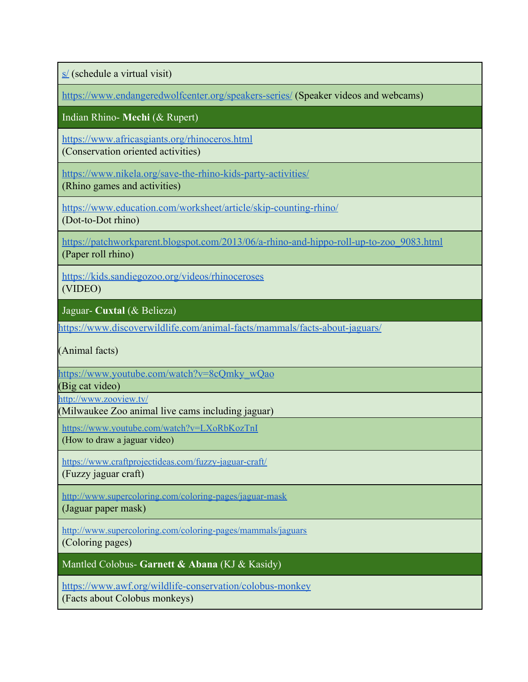[s/](https://www.endangeredwolfcenter.org/take-a-tour/tours/virtual-visits-with-our-animal-ambassadors/) (schedule a virtual visit)

<https://www.endangeredwolfcenter.org/speakers-series/> (Speaker videos and webcams)

Indian Rhino- **Mechi** (& Rupert)

<https://www.africasgiants.org/rhinoceros.html> (Conservation oriented activities)

<https://www.nikela.org/save-the-rhino-kids-party-activities/> (Rhino games and activities)

<https://www.education.com/worksheet/article/skip-counting-rhino/> (Dot-to-Dot rhino)

[https://patchworkparent.blogspot.com/2013/06/a-rhino-and-hippo-roll-up-to-zoo\\_9083.html](https://patchworkparent.blogspot.com/2013/06/a-rhino-and-hippo-roll-up-to-zoo_9083.html) (Paper roll rhino)

<https://kids.sandiegozoo.org/videos/rhinoceroses> (VIDEO)

Jaguar- **Cuxtal** (& Belieza)

<https://www.discoverwildlife.com/animal-facts/mammals/facts-about-jaguars/>

(Animal facts)

[https://www.youtube.com/watch?v=8cQmky\\_wQao](https://www.youtube.com/watch?v=8cQmky_wQao)

(Big cat video)

<http://www.zooview.tv/>

(Milwaukee Zoo animal live cams including jaguar)

<https://www.youtube.com/watch?v=LXoRbKozTnI> (How to draw a jaguar video)

<https://www.craftprojectideas.com/fuzzy-jaguar-craft/>

(Fuzzy jaguar craft)

<http://www.supercoloring.com/coloring-pages/jaguar-mask>

(Jaguar paper mask)

<http://www.supercoloring.com/coloring-pages/mammals/jaguars>

(Coloring pages)

Mantled Colobus- **Garnett & Abana** (KJ & Kasidy)

<https://www.awf.org/wildlife-conservation/colobus-monkey> (Facts about Colobus monkeys)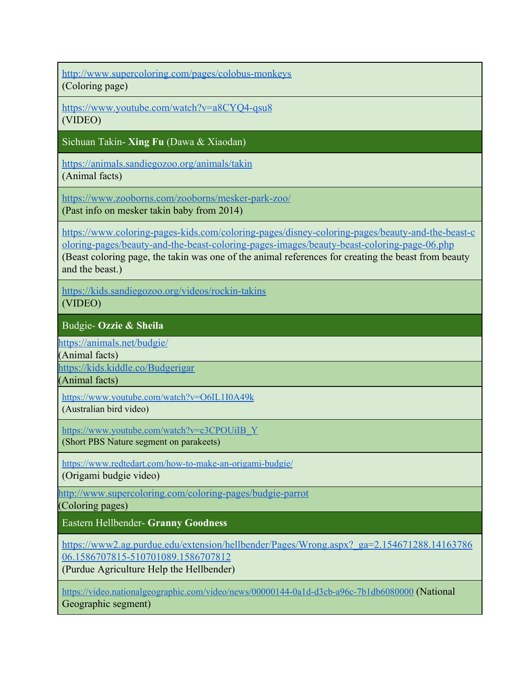<http://www.supercoloring.com/pages/colobus-monkeys> (Coloring page)

<https://www.youtube.com/watch?v=a8CYQ4-qsu8>

(VIDEO)

Sichuan Takin- **Xing Fu** (Dawa & Xiaodan)

<https://animals.sandiegozoo.org/animals/takin>

(Animal facts)

<https://www.zooborns.com/zooborns/mesker-park-zoo/> (Past info on mesker takin baby from 2014)

[https://www.coloring-pages-kids.com/coloring-pages/disney-coloring-pages/beauty-and-the-beast-c](https://www.coloring-pages-kids.com/coloring-pages/disney-coloring-pages/beauty-and-the-beast-coloring-pages/beauty-and-the-beast-coloring-pages-images/beauty-beast-coloring-page-06.php) [oloring-pages/beauty-and-the-beast-coloring-pages-images/beauty-beast-coloring-page-06.php](https://www.coloring-pages-kids.com/coloring-pages/disney-coloring-pages/beauty-and-the-beast-coloring-pages/beauty-and-the-beast-coloring-pages-images/beauty-beast-coloring-page-06.php) (Beast coloring page, the takin was one of the animal references for creating the beast from beauty and the beast.)

<https://kids.sandiegozoo.org/videos/rockin-takins> (VIDEO)

Budgie- **Ozzie & Sheila**

<https://animals.net/budgie/>

(Animal facts)

<https://kids.kiddle.co/Budgerigar>

(Animal facts)

<https://www.youtube.com/watch?v=O6IL1I0A49k>

(Australian bird video)

[https://www.youtube.com/watch?v=c3CPOUiIB\\_Y](https://www.youtube.com/watch?v=c3CPOUiIB_Y)

(Short PBS Nature segment on parakeets)

<https://www.redtedart.com/how-to-make-an-origami-budgie/>

(Origami budgie video)

<http://www.supercoloring.com/coloring-pages/budgie-parrot>

(Coloring pages)

Eastern Hellbender- **Granny Goodness**

[https://www2.ag.purdue.edu/extension/hellbender/Pages/Wrong.aspx?\\_ga=2.154671288.14163786](https://www2.ag.purdue.edu/extension/hellbender/Pages/Wrong.aspx?_ga=2.154671288.1416378606.1586707815-510701089.1586707812) [06.1586707815-510701089.1586707812](https://www2.ag.purdue.edu/extension/hellbender/Pages/Wrong.aspx?_ga=2.154671288.1416378606.1586707815-510701089.1586707812)

(Purdue Agriculture Help the Hellbender)

<https://video.nationalgeographic.com/video/news/00000144-0a1d-d3cb-a96c-7b1db6080000> (National Geographic segment)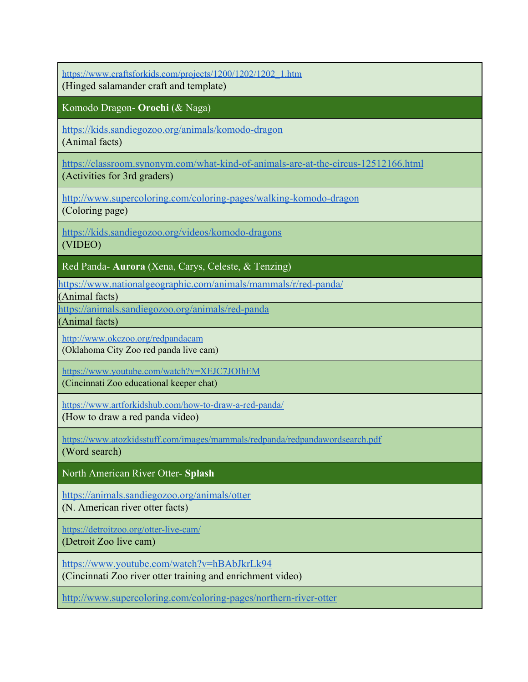[https://www.craftsforkids.com/projects/1200/1202/1202\\_1.htm](https://www.craftsforkids.com/projects/1200/1202/1202_1.htm) (Hinged salamander craft and template)

Komodo Dragon- **Orochi** (& Naga)

<https://kids.sandiegozoo.org/animals/komodo-dragon> (Animal facts)

<https://classroom.synonym.com/what-kind-of-animals-are-at-the-circus-12512166.html>

(Activities for 3rd graders)

<http://www.supercoloring.com/coloring-pages/walking-komodo-dragon> (Coloring page)

<https://kids.sandiegozoo.org/videos/komodo-dragons>

(VIDEO)

Red Panda- **Aurora** (Xena, Carys, Celeste, & Tenzing)

<https://www.nationalgeographic.com/animals/mammals/r/red-panda/>

(Animal facts)

<https://animals.sandiegozoo.org/animals/red-panda>

(Animal facts)

<http://www.okczoo.org/redpandacam> (Oklahoma City Zoo red panda live cam)

<https://www.youtube.com/watch?v=XEJC7JOIhEM>

(Cincinnati Zoo educational keeper chat)

<https://www.artforkidshub.com/how-to-draw-a-red-panda/>

(How to draw a red panda video)

<https://www.atozkidsstuff.com/images/mammals/redpanda/redpandawordsearch.pdf> (Word search)

North American River Otter- **Splash**

<https://animals.sandiegozoo.org/animals/otter>

(N. American river otter facts)

<https://detroitzoo.org/otter-live-cam/>

(Detroit Zoo live cam)

<https://www.youtube.com/watch?v=hBAbJkrLk94>

(Cincinnati Zoo river otter training and enrichment video)

<http://www.supercoloring.com/coloring-pages/northern-river-otter>